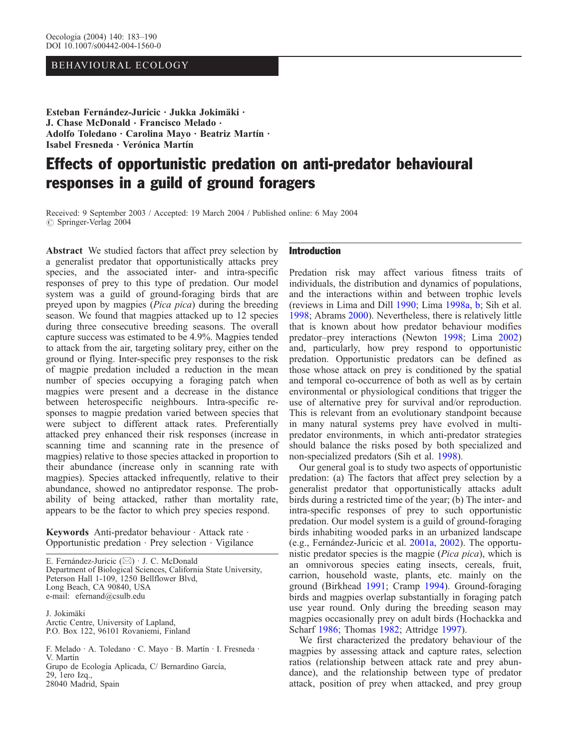# BEHAV IOURAL ECOLOGY

Esteban Fernández-Juricic . Jukka Jokimäki . J. Chase McDonald · Francisco Melado · Adolfo Toledano . Carolina Mayo . Beatriz Martín . Isabel Fresneda . Verónica Martín

# Effects of opportunistic predation on anti-predator behavioural responses in a guild of ground foragers

Received: 9 September 2003 / Accepted: 19 March 2004 / Published online: 6 May 2004 *#* Springer-Verlag 2004

Abstract We studied factors that affect prey selection by a generalist predator that opportunistically attacks prey species, and the associated inter- and intra-specific responses of prey to this type of predation. Our model system was a guild of ground-foraging birds that are preyed upon by magpies (Pica pica) during the breeding season. We found that magpies attacked up to 12 species during three consecutive breeding seasons. The overall capture success was estimated to be 4.9%. Magpies tended to attack from the air, targeting solitary prey, either on the ground or flying. Inter-specific prey responses to the risk of magpie predation included a reduction in the mean number of species occupying a foraging patch when magpies were present and a decrease in the distance between heterospecific neighbours. Intra-specific responses to magpie predation varied between species that were subject to different attack rates. Preferentially attacked prey enhanced their risk responses (increase in scanning time and scanning rate in the presence of magpies) relative to those species attacked in proportion to their abundance (increase only in scanning rate with magpies). Species attacked infrequently, relative to their abundance, showed no antipredator response. The probability of being attacked, rather than mortality rate, appears to be the factor to which prey species respond.

Keywords Anti-predator behaviour · Attack rate · Opportunistic predation . Prey selection . Vigilance

E. Fernández-Juricic (*\**) . J. C. McDonald Department of Biological Sciences, California State University, Peterson Hall 1-109, 1250 Bellflower Blvd, Long Beach, CA 90840, USA e-mail: efernand@csulb.edu

J. Jokimäki Arctic Centre, University of Lapland, P.O. Box 122, 96101 Rovaniemi, Finland

F. Melado . A. Toledano . C. Mayo . B. Martín . I. Fresneda . V. Martín Grupo de Ecología Aplicada, C/ Bernardino García, 29, 1ero Izq., 28040 Madrid, Spain

# Introduction

Predation risk may affect various fitness traits of individuals, the distribution and dynamics of populations, and the interactions within and between trophic levels (reviews in Lima and Dill [1990](#page-7-0); Lima [1998a,](#page-6-0) [b;](#page-7-0) Sih et al. [1998](#page-7-0); Abrams [2000](#page-6-0)). Nevertheless, there is relatively little that is known about how predator behaviour modifies predator–prey interactions (Newton [1998;](#page-7-0) Lima [2002\)](#page-7-0) and, particularly, how prey respond to opportunistic predation. Opportunistic predators can be defined as those whose attack on prey is conditioned by the spatial and temporal co-occurrence of both as well as by certain environmental or physiological conditions that trigger the use of alternative prey for survival and/or reproduction. This is relevant from an evolutionary standpoint because in many natural systems prey have evolved in multipredator environments, in which anti-predator strategies should balance the risks posed by both specialized and non-specialized predators (Sih et al. [1998\)](#page-7-0).

Our general goal is to study two aspects of opportunistic predation: (a) The factors that affect prey selection by a generalist predator that opportunistically attacks adult birds during a restricted time of the year; (b) The inter- and intra-specific responses of prey to such opportunistic predation. Our model system is a guild of ground-foraging birds inhabiting wooded parks in an urbanized landscape (e.g., Fernández-Juricic et al. [2001a](#page-6-0), [2002](#page-6-0)). The opportunistic predator species is the magpie (Pica pica), which is an omnivorous species eating insects, cereals, fruit, carrion, household waste, plants, etc. mainly on the ground (Birkhead [1991;](#page-6-0) Cramp [1994](#page-6-0)). Ground-foraging birds and magpies overlap substantially in foraging patch use year round. Only during the breeding season may magpies occasionally prey on adult birds (Hochackka and Scharf [1986;](#page-6-0) Thomas [1982;](#page-7-0) Attridge [1997\)](#page-6-0).

We first characterized the predatory behaviour of the magpies by assessing attack and capture rates, selection ratios (relationship between attack rate and prey abundance), and the relationship between type of predator attack, position of prey when attacked, and prey group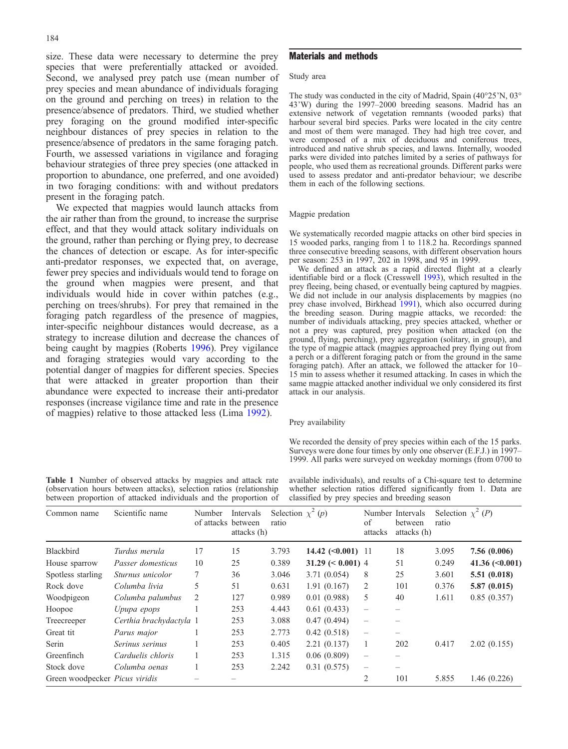<span id="page-1-0"></span>size. These data were necessary to determine the prey species that were preferentially attacked or avoided. Second, we analysed prey patch use (mean number of prey species and mean abundance of individuals foraging on the ground and perching on trees) in relation to the presence/absence of predators. Third, we studied whether prey foraging on the ground modified inter-specific neighbour distances of prey species in relation to the presence/absence of predators in the same foraging patch. Fourth, we assessed variations in vigilance and foraging behaviour strategies of three prey species (one attacked in proportion to abundance, one preferred, and one avoided) in two foraging conditions: with and without predators present in the foraging patch.

We expected that magpies would launch attacks from the air rather than from the ground, to increase the surprise effect, and that they would attack solitary individuals on the ground, rather than perching or flying prey, to decrease the chances of detection or escape. As for inter-specific anti-predator responses, we expected that, on average, fewer prey species and individuals would tend to forage on the ground when magpies were present, and that individuals would hide in cover within patches (e.g., perching on trees/shrubs). For prey that remained in the foraging patch regardless of the presence of magpies, inter-specific neighbour distances would decrease, as a strategy to increase dilution and decrease the chances of being caught by magpies (Roberts [1996\)](#page-7-0). Prey vigilance and foraging strategies would vary according to the potential danger of magpies for different species. Species that were attacked in greater proportion than their abundance were expected to increase their anti-predator responses (increase vigilance time and rate in the presence of magpies) relative to those attacked less (Lima [1992](#page-6-0)).

## Materials and methods

#### Study area

The study was conducted in the city of Madrid, Spain (40°25'N, 03° 43'W) during the 1997–2000 breeding seasons. Madrid has an extensive network of vegetation remnants (wooded parks) that harbour several bird species. Parks were located in the city centre and most of them were managed. They had high tree cover, and were composed of a mix of deciduous and coniferous trees, introduced and native shrub species, and lawns. Internally, wooded parks were divided into patches limited by a series of pathways for people, who used them as recreational grounds. Different parks were used to assess predator and anti-predator behaviour; we describe them in each of the following sections.

#### Magpie predation

We systematically recorded magpie attacks on other bird species in 15 wooded parks, ranging from 1 to 118.2 ha. Recordings spanned three consecutive breeding seasons, with different observation hours per season: 253 in 1997, 202 in 1998, and 95 in 1999.

We defined an attack as a rapid directed flight at a clearly identifiable bird or a flock (Cresswell [1993\)](#page-6-0), which resulted in the prey fleeing, being chased, or eventually being captured by magpies. We did not include in our analysis displacements by magpies (no prey chase involved, Birkhead [1991](#page-6-0)), which also occurred during the breeding season. During magpie attacks, we recorded: the number of individuals attacking, prey species attacked, whether or not a prey was captured, prey position when attacked (on the ground, flying, perching), prey aggregation (solitary, in group), and the type of magpie attack (magpies approached prey flying out from a perch or a different foraging patch or from the ground in the same foraging patch). After an attack, we followed the attacker for 10– 15 min to assess whether it resumed attacking. In cases in which the same magpie attacked another individual we only considered its first attack in our analysis.

#### Prey availability

We recorded the density of prey species within each of the 15 parks. Surveys were done four times by only one observer (E.F.J.) in 1997– 1999. All parks were surveyed on weekday mornings (from 0700 to

| <b>Table 1</b> Number of observed attacks by magpies and attack rate |  |
|----------------------------------------------------------------------|--|
| (observation hours between attacks), selection ratios (relationship  |  |
| between proportion of attacked individuals and the proportion of     |  |

available individuals), and results of a Chi-square test to determine whether selection ratios differed significantly from 1. Data are classified by prey species and breeding season

| Common name                           | Scientific name         | Number<br>of attacks between | Intervals<br>attacks (h) | Selection $\chi^2$ (p)<br>ratio |                    | of<br>attacks                   | Number Intervals<br>between<br>attacks (h) | Selection $\chi^2$ (P)<br>ratio |                 |
|---------------------------------------|-------------------------|------------------------------|--------------------------|---------------------------------|--------------------|---------------------------------|--------------------------------------------|---------------------------------|-----------------|
| Blackbird                             | Turdus merula           | 17                           | 15                       | 3.793                           | 14.42 $(0.001)$ 11 |                                 | 18                                         | 3.095                           | 7.56 (0.006)    |
| House sparrow                         | Passer domesticus       | 10                           | 25                       | 0.389                           | 31.29 $(0.001) 4$  |                                 | 51                                         | 0.249                           | 41.36 $(0.001)$ |
| Spotless starling                     | Sturnus unicolor        |                              | 36                       | 3.046                           | 3.71(0.054)        | 8                               | 25                                         | 3.601                           | 5.51(0.018)     |
| Rock dove                             | Columba livia           | 5                            | 51                       | 0.631                           | 1.91(0.167)        | 2                               | 101                                        | 0.376                           | 5.87(0.015)     |
| Woodpigeon                            | Columba palumbus        | 2                            | 127                      | 0.989                           | 0.01(0.988)        | 5                               | 40                                         | 1.611                           | 0.85(0.357)     |
| Hoopoe                                | Upupa epops             |                              | 253                      | 4.443                           | 0.61(0.433)        | $\overline{\phantom{m}}$        |                                            |                                 |                 |
| Treecreeper                           | Certhia brachydactyla 1 |                              | 253                      | 3.088                           | 0.47(0.494)        | $\overline{\phantom{m}}$        |                                            |                                 |                 |
| Great tit                             | Parus major             |                              | 253                      | 2.773                           | 0.42(0.518)        | $\overline{\phantom{m}}$        |                                            |                                 |                 |
| Serin                                 | Serinus serinus         |                              | 253                      | 0.405                           | 2.21(0.137)        | 1                               | 202                                        | 0.417                           | 2.02(0.155)     |
| Greenfinch                            | Carduelis chloris       |                              | 253                      | 1.315                           | 0.06(0.809)        | $\overline{\phantom{0}}$        |                                            |                                 |                 |
| Stock dove                            | Columba oenas           |                              | 253                      | 2.242                           | 0.31(0.575)        | $\hspace{0.1mm}-\hspace{0.1mm}$ |                                            |                                 |                 |
| Green woodpecker <i>Picus viridis</i> |                         |                              |                          |                                 |                    | 2                               | 101                                        | 5.855                           | 1.46(0.226)     |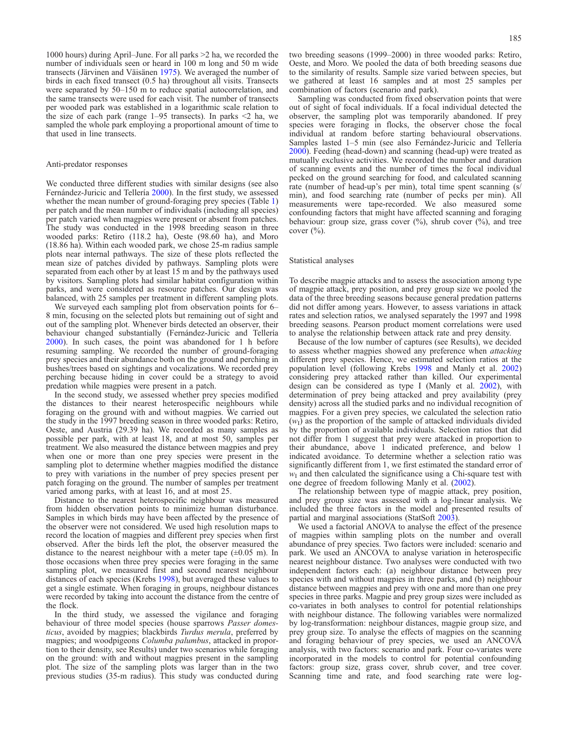1000 hours) during April–June. For all parks >2 ha, we recorded the number of individuals seen or heard in 100 m long and 50 m wide transects (Järvinen and Väisänen [1975\)](#page-6-0). We averaged the number of birds in each fixed transect (0.5 ha) throughout all visits. Transects were separated by 50–150 m to reduce spatial autocorrelation, and the same transects were used for each visit. The number of transects per wooded park was established in a logarithmic scale relation to the size of each park (range  $1-95$  transects). In parks  $\leq 2$  ha, we sampled the whole park employing a proportional amount of time to that used in line transects.

#### Anti-predator responses

We conducted three different studies with similar designs (see also Fernández-Juricic and Tellería [2000](#page-6-0)). In the first study, we assessed whether the mean number of ground-foraging prey species (Table [1](#page-1-0)) per patch and the mean number of individuals (including all species) per patch varied when magpies were present or absent from patches. The study was conducted in the 1998 breeding season in three wooded parks: Retiro (118.2 ha), Oeste (98.60 ha), and Moro (18.86 ha). Within each wooded park, we chose 25-m radius sample plots near internal pathways. The size of these plots reflected the mean size of patches divided by pathways. Sampling plots were separated from each other by at least 15 m and by the pathways used by visitors. Sampling plots had similar habitat configuration within parks, and were considered as resource patches. Our design was balanced, with 25 samples per treatment in different sampling plots.

We surveyed each sampling plot from observation points for 6– 8 min, focusing on the selected plots but remaining out of sight and out of the sampling plot. Whenever birds detected an observer, their behaviour changed substantially (Fernández-Juricic and Tellería [2000](#page-6-0)). In such cases, the point was abandoned for 1 h before resuming sampling. We recorded the number of ground-foraging prey species and their abundance both on the ground and perching in bushes/trees based on sightings and vocalizations. We recorded prey perching because hiding in cover could be a strategy to avoid predation while magpies were present in a patch.

In the second study, we assessed whether prey species modified the distances to their nearest heterospecific neighbours while foraging on the ground with and without magpies. We carried out the study in the 1997 breeding season in three wooded parks: Retiro, Oeste, and Austria (29.39 ha). We recorded as many samples as possible per park, with at least 18, and at most 50, samples per treatment. We also measured the distance between magpies and prey when one or more than one prey species were present in the sampling plot to determine whether magpies modified the distance to prey with variations in the number of prey species present per patch foraging on the ground. The number of samples per treatment varied among parks, with at least 16, and at most 25.

Distance to the nearest heterospecific neighbour was measured from hidden observation points to minimize human disturbance. Samples in which birds may have been affected by the presence of the observer were not considered. We used high resolution maps to record the location of magpies and different prey species when first observed. After the birds left the plot, the observer measured the distance to the nearest neighbour with a meter tape  $(\pm 0.05 \text{ m})$ . In those occasions when three prey species were foraging in the same sampling plot, we measured first and second nearest neighbour distances of each species (Krebs [1998\)](#page-6-0), but averaged these values to get a single estimate. When foraging in groups, neighbour distances were recorded by taking into account the distance from the centre of the flock.

In the third study, we assessed the vigilance and foraging behaviour of three model species (house sparrows *Passer domes*ticus, avoided by magpies; blackbirds Turdus merula, preferred by magpies; and woodpigeons Columba palumbus, attacked in proportion to their density, see Results) under two scenarios while foraging on the ground: with and without magpies present in the sampling plot. The size of the sampling plots was larger than in the two previous studies (35-m radius). This study was conducted during

two breeding seasons (1999–2000) in three wooded parks: Retiro, Oeste, and Moro. We pooled the data of both breeding seasons due to the similarity of results. Sample size varied between species, but we gathered at least 16 samples and at most 25 samples per combination of factors (scenario and park).

Sampling was conducted from fixed observation points that were out of sight of focal individuals. If a focal individual detected the observer, the sampling plot was temporarily abandoned. If prey species were foraging in flocks, the observer chose the focal individual at random before starting behavioural observations. Samples lasted 1–5 min (see also Fernández-Juricic and Tellería [2000](#page-6-0)). Feeding (head-down) and scanning (head-up) were treated as mutually exclusive activities. We recorded the number and duration of scanning events and the number of times the focal individual pecked on the ground searching for food, and calculated scanning rate (number of head-up's per min), total time spent scanning (s/ min), and food searching rate (number of pecks per min). All measurements were tape-recorded. We also measured some confounding factors that might have affected scanning and foraging behaviour: group size, grass cover  $(\%)$ , shrub cover  $(\%)$ , and tree cover  $(\%).$ 

#### Statistical analyses

To describe magpie attacks and to assess the association among type of magpie attack, prey position, and prey group size we pooled the data of the three breeding seasons because general predation patterns did not differ among years. However, to assess variations in attack rates and selection ratios, we analysed separately the 1997 and 1998 breeding seasons. Pearson product moment correlations were used to analyse the relationship between attack rate and prey density.

Because of the low number of captures (see Results), we decided to assess whether magpies showed any preference when *attacking* different prey species. Hence, we estimated selection ratios at the population level (following Krebs [1998](#page-6-0) and Manly et al. [2002](#page-7-0)) considering prey attacked rather than killed. Our experimental design can be considered as type I (Manly et al. [2002](#page-7-0)), with determination of prey being attacked and prey availability (prey density) across all the studied parks and no individual recognition of magpies. For a given prey species, we calculated the selection ratio  $(w<sub>I</sub>)$  as the proportion of the sample of attacked individuals divided by the proportion of available individuals. Selection ratios that did not differ from 1 suggest that prey were attacked in proportion to their abundance, above 1 indicated preference, and below 1 indicated avoidance. To determine whether a selection ratio was significantly different from 1, we first estimated the standard error of  $w<sub>I</sub>$  and then calculated the significance using a Chi-square test with one degree of freedom following Manly et al. [\(2002](#page-7-0)).

The relationship between type of magpie attack, prey position, and prey group size was assessed with a log-linear analysis. We included the three factors in the model and presented results of partial and marginal associations (StatSoft [2003](#page-7-0)).

We used a factorial ANOVA to analyse the effect of the presence of magpies within sampling plots on the number and overall abundance of prey species. Two factors were included: scenario and park. We used an ANCOVA to analyse variation in heterospecific nearest neighbour distance. Two analyses were conducted with two independent factors each: (a) neighbour distance between prey species with and without magpies in three parks, and (b) neighbour distance between magpies and prey with one and more than one prey species in three parks. Magpie and prey group sizes were included as co-variates in both analyses to control for potential relationships with neighbour distance. The following variables were normalized by log-transformation: neighbour distances, magpie group size, and prey group size. To analyse the effects of magpies on the scanning and foraging behaviour of prey species, we used an ANCOVA analysis, with two factors: scenario and park. Four co-variates were incorporated in the models to control for potential confounding factors: group size, grass cover, shrub cover, and tree cover. Scanning time and rate, and food searching rate were log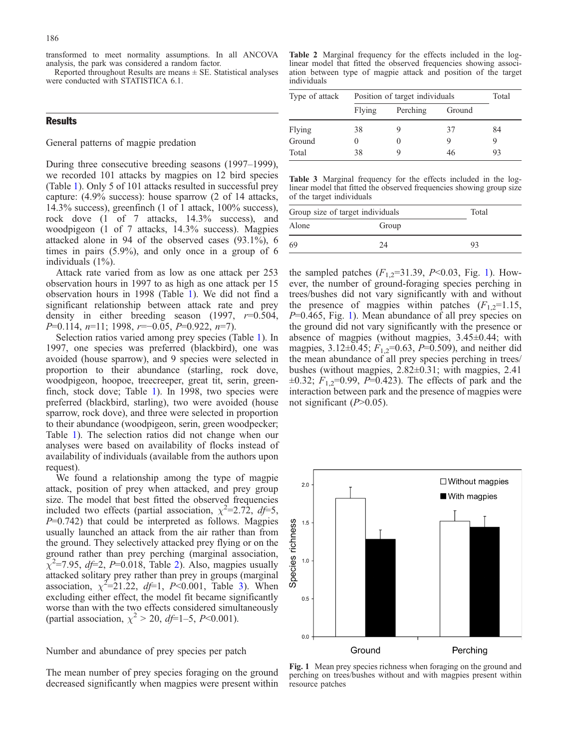transformed to meet normality assumptions. In all ANCOVA analysis, the park was considered a random factor.

Reported throughout Results are means  $\pm$  SE. Statistical analyses were conducted with STATISTICA 6.1.

#### Results

## General patterns of magpie predation

During three consecutive breeding seasons (1997–1999), we recorded 101 attacks by magpies on 12 bird species (Table [1](#page-1-0)). Only 5 of 101 attacks resulted in successful prey capture: (4.9% success): house sparrow (2 of 14 attacks, 14.3% success), greenfinch (1 of 1 attack, 100% success), rock dove (1 of 7 attacks, 14.3% success), and woodpigeon (1 of 7 attacks, 14.3% success). Magpies attacked alone in 94 of the observed cases (93.1%), 6 times in pairs  $(5.9\%)$ , and only once in a group of 6 individuals (1%).

Attack rate varied from as low as one attack per 253 observation hours in 1997 to as high as one attack per 15 observation hours in 1998 (Table [1](#page-1-0)). We did not find a significant relationship between attack rate and prey density in either breeding season (1997,  $r=0.504$ , P=0.114, n=11; 1998, r=−0.05, P=0.922, n=7).

Selection ratios varied among prey species (Table [1](#page-1-0)). In 1997, one species was preferred (blackbird), one was avoided (house sparrow), and 9 species were selected in proportion to their abundance (starling, rock dove, woodpigeon, hoopoe, treecreeper, great tit, serin, greenfinch, stock dove; Table [1](#page-1-0)). In 1998, two species were preferred (blackbird, starling), two were avoided (house sparrow, rock dove), and three were selected in proportion to their abundance (woodpigeon, serin, green woodpecker; Table [1\)](#page-1-0). The selection ratios did not change when our analyses were based on availability of flocks instead of availability of individuals (available from the authors upon request).

We found a relationship among the type of magpie attack, position of prey when attacked, and prey group size. The model that best fitted the observed frequencies included two effects (partial association,  $\chi^2$ =2.72, df=5,  $P=0.742$ ) that could be interpreted as follows. Magpies usually launched an attack from the air rather than from the ground. They selectively attacked prey flying or on the ground rather than prey perching (marginal association,  $\chi^2$ =7.95, df=2, P=0.018, Table 2). Also, magpies usually attacked solitary prey rather than prey in groups (marginal association,  $\chi^2 = 21.22$ , df=1, P<0.001, Table 3). When excluding either effect, the model fit became significantly worse than with the two effects considered simultaneously (partial association,  $\chi^2 > 20$ , df=1-5, P<0.001).

Number and abundance of prey species per patch

The mean number of prey species foraging on the ground decreased significantly when magpies were present within

Table 2 Marginal frequency for the effects included in the loglinear model that fitted the observed frequencies showing association between type of magpie attack and position of the target individuals

| Type of attack | Position of target individuals | Total    |        |    |
|----------------|--------------------------------|----------|--------|----|
|                | Flying                         | Perching | Ground |    |
| Flying         | 38                             |          | 37     | 84 |
| Ground         |                                |          |        | Q  |
| Total          | 38                             |          | 46     | 93 |

Table 3 Marginal frequency for the effects included in the loglinear model that fitted the observed frequencies showing group size of the target individuals

| Group size of target individuals |       | Total |
|----------------------------------|-------|-------|
| Alone                            | Group |       |
| 69                               | 24    | 93    |

the sampled patches  $(F_{1,2}=31.39, P<0.03,$  Fig. 1). However, the number of ground-foraging species perching in trees/bushes did not vary significantly with and without the presence of magpies within patches  $(F_{1,2}=1.15,$  $P=0.465$ , Fig. 1). Mean abundance of all prey species on the ground did not vary significantly with the presence or absence of magpies (without magpies, 3.45±0.44; with magpies,  $3.12\pm0.45$ ;  $F_{1,2}=0.63$ ,  $P=0.509$ ), and neither did the mean abundance of all prey species perching in trees/ bushes (without magpies, 2.82±0.31; with magpies, 2.41  $\pm 0.32$ ;  $F_{1,2} = 0.99$ ,  $P = 0.423$ ). The effects of park and the interaction between park and the presence of magpies were not significant  $(P>0.05)$ .



Fig. 1 Mean prey species richness when foraging on the ground and perching on trees/bushes without and with magpies present within resource patches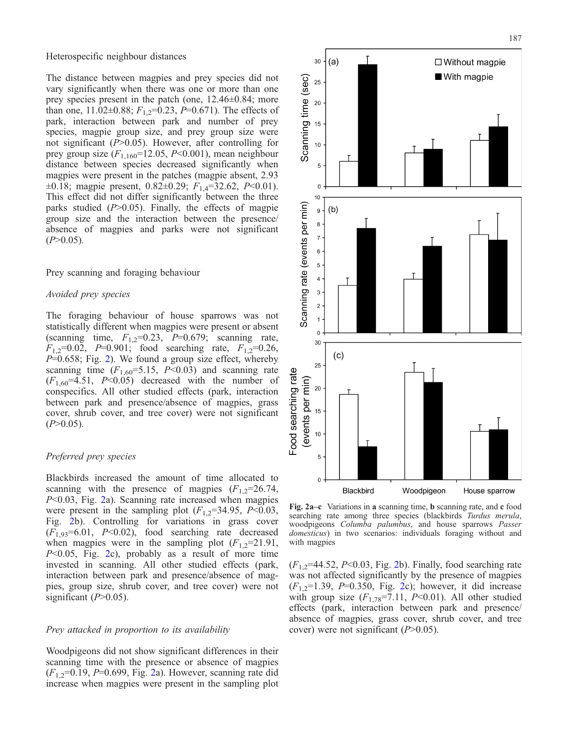Heterospecific neighbour distances

The distance between magpies and prey species did not vary significantly when there was one or more than one prey species present in the patch (one, 12.46±0.84; more than one,  $11.02\pm0.88$ ;  $F_{1,2}=0.23$ ,  $P=0.671$ ). The effects of park, interaction between park and number of prey species, magpie group size, and prey group size were not significant (P>0.05). However, after controlling for prey group size  $(F_{1,160} = 12.05, P \le 0.001)$ , mean neighbour distance between species decreased significantly when magpies were present in the patches (magpie absent, 2.93  $\pm 0.18$ ; magpie present, 0.82 $\pm 0.29$ ;  $F_{1,4} = 32.62$ , P<0.01). This effect did not differ significantly between the three parks studied  $(P>0.05)$ . Finally, the effects of magpie group size and the interaction between the presence/ absence of magpies and parks were not significant  $(P>0.05)$ .

### Prey scanning and foraging behaviour

## Avoided prey species

The foraging behaviour of house sparrows was not statistically different when magpies were present or absent (scanning time,  $F_{1,2}$ =0.23, P=0.679; scanning rate,  $F_{1,2}=0.02$ ,  $P=0.901$ ; food searching rate,  $F_{1,2}=0.26$ ,  $P=0.658$ ; Fig. 2). We found a group size effect, whereby scanning time  $(F_{1,60} = 5.15, P \le 0.03)$  and scanning rate  $(F_{1,60} = 4.51, P < 0.05)$  decreased with the number of conspecifics. All other studied effects (park, interaction between park and presence/absence of magpies, grass cover, shrub cover, and tree cover) were not significant  $(P>0.05)$ .

## Preferred prey species

Blackbirds increased the amount of time allocated to scanning with the presence of magpies  $(F_{1,2}=26.74)$ ,  $P<0.03$ , Fig. 2a). Scanning rate increased when magpies were present in the sampling plot  $(F_{1,2}=34.95, P<0.03,$ Fig. 2b). Controlling for variations in grass cover  $(F_{1,93}=6.01, P<0.02)$ , food searching rate decreased when magpies were in the sampling plot  $(F_{1,2}=21.91)$ ,  $P<0.05$ , Fig. 2c), probably as a result of more time invested in scanning. All other studied effects (park, interaction between park and presence/absence of magpies, group size, shrub cover, and tree cover) were not significant  $(P>0.05)$ .

## Prey attacked in proportion to its availability

Woodpigeons did not show significant differences in their scanning time with the presence or absence of magpies  $(F_{1,2}=0.19, P=0.699, Fig. 2a)$ . However, scanning rate did increase when magpies were present in the sampling plot



Fig. 2a*–*c Variations in a scanning time, b scanning rate, and c food searching rate among three species (blackbirds Turdus merula, woodpigeons Columba palumbus, and house sparrows Passer domesticus) in two scenarios: individuals foraging without and with magpies

 $(F_{1,2}=44.52, P<0.03, Fig. 2b)$ . Finally, food searching rate was not affected significantly by the presence of magpies  $(F_{1,2}=1.39, P=0.350, Fig. 2c)$ ; however, it did increase with group size  $(F_{1.78}=7.11, P<0.01)$ . All other studied effects (park, interaction between park and presence/ absence of magpies, grass cover, shrub cover, and tree cover) were not significant  $(P>0.05)$ .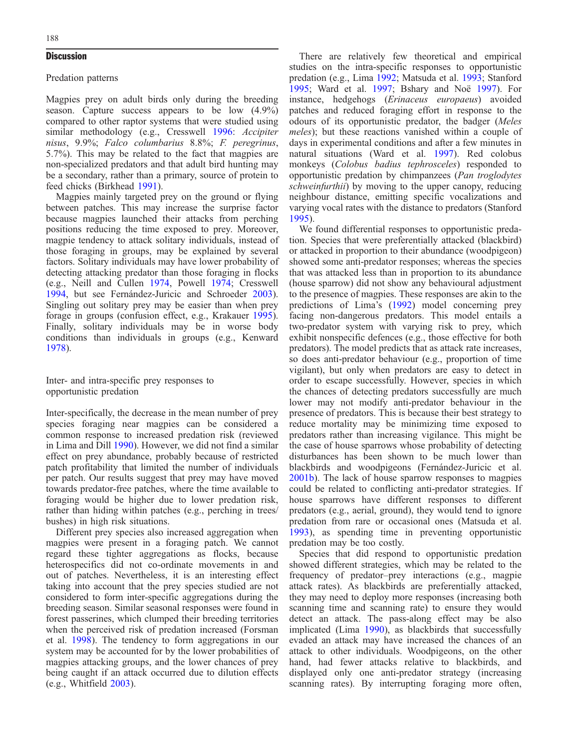# **Discussion**

## Predation patterns

Magpies prey on adult birds only during the breeding season. Capture success appears to be low (4.9%) compared to other raptor systems that were studied using similar methodology (e.g., Cresswell [1996:](#page-6-0) Accipiter nisus, 9.9%; Falco columbarius 8.8%; F. peregrinus, 5.7%). This may be related to the fact that magpies are non-specialized predators and that adult bird hunting may be a secondary, rather than a primary, source of protein to feed chicks (Birkhead [1991](#page-6-0)).

Magpies mainly targeted prey on the ground or flying between patches. This may increase the surprise factor because magpies launched their attacks from perching positions reducing the time exposed to prey. Moreover, magpie tendency to attack solitary individuals, instead of those foraging in groups, may be explained by several factors. Solitary individuals may have lower probability of detecting attacking predator than those foraging in flocks (e.g., Neill and Cullen [1974,](#page-7-0) Powell [1974](#page-7-0); Cresswell [1994](#page-6-0), but see Fernández-Juricic and Schroeder [2003\)](#page-6-0). Singling out solitary prey may be easier than when prey forage in groups (confusion effect, e.g., Krakauer [1995\)](#page-6-0). Finally, solitary individuals may be in worse body conditions than individuals in groups (e.g., Kenward [1978](#page-6-0)).

Inter- and intra-specific prey responses to opportunistic predation

Inter-specifically, the decrease in the mean number of prey species foraging near magpies can be considered a common response to increased predation risk (reviewed in Lima and Dill [1990\)](#page-7-0). However, we did not find a similar effect on prey abundance, probably because of restricted patch profitability that limited the number of individuals per patch. Our results suggest that prey may have moved towards predator-free patches, where the time available to foraging would be higher due to lower predation risk, rather than hiding within patches (e.g., perching in trees/ bushes) in high risk situations.

Different prey species also increased aggregation when magpies were present in a foraging patch. We cannot regard these tighter aggregations as flocks, because heterospecifics did not co-ordinate movements in and out of patches. Nevertheless, it is an interesting effect taking into account that the prey species studied are not considered to form inter-specific aggregations during the breeding season. Similar seasonal responses were found in forest passerines, which clumped their breeding territories when the perceived risk of predation increased (Forsman et al. [1998](#page-6-0)). The tendency to form aggregations in our system may be accounted for by the lower probabilities of magpies attacking groups, and the lower chances of prey being caught if an attack occurred due to dilution effects (e.g., Whitfield [2003\)](#page-7-0).

There are relatively few theoretical and empirical studies on the intra-specific responses to opportunistic predation (e.g., Lima [1992;](#page-6-0) Matsuda et al. [1993](#page-7-0); Stanford [1995](#page-7-0); Ward et al. [1997](#page-7-0); Bshary and Noë [1997\)](#page-6-0). For instance, hedgehogs (Erinaceus europaeus) avoided patches and reduced foraging effort in response to the odours of its opportunistic predator, the badger (Meles meles); but these reactions vanished within a couple of days in experimental conditions and after a few minutes in natural situations (Ward et al. [1997\)](#page-7-0). Red colobus monkeys (Colobus badius tephrosceles) responded to opportunistic predation by chimpanzees (Pan troglodytes schweinfurthii) by moving to the upper canopy, reducing neighbour distance, emitting specific vocalizations and varying vocal rates with the distance to predators (Stanford [1995](#page-7-0)).

We found differential responses to opportunistic predation. Species that were preferentially attacked (blackbird) or attacked in proportion to their abundance (woodpigeon) showed some anti-predator responses; whereas the species that was attacked less than in proportion to its abundance (house sparrow) did not show any behavioural adjustment to the presence of magpies. These responses are akin to the predictions of Lima's [\(1992](#page-6-0)) model concerning prey facing non-dangerous predators. This model entails a two-predator system with varying risk to prey, which exhibit nonspecific defences (e.g., those effective for both predators). The model predicts that as attack rate increases, so does anti-predator behaviour (e.g., proportion of time vigilant), but only when predators are easy to detect in order to escape successfully. However, species in which the chances of detecting predators successfully are much lower may not modify anti-predator behaviour in the presence of predators. This is because their best strategy to reduce mortality may be minimizing time exposed to predators rather than increasing vigilance. This might be the case of house sparrows whose probability of detecting disturbances has been shown to be much lower than blackbirds and woodpigeons (Fernández-Juricic et al. [2001b](#page-6-0)). The lack of house sparrow responses to magpies could be related to conflicting anti-predator strategies. If house sparrows have different responses to different predators (e.g., aerial, ground), they would tend to ignore predation from rare or occasional ones (Matsuda et al. [1993](#page-7-0)), as spending time in preventing opportunistic predation may be too costly.

Species that did respond to opportunistic predation showed different strategies, which may be related to the frequency of predator–prey interactions (e.g., magpie attack rates). As blackbirds are preferentially attacked, they may need to deploy more responses (increasing both scanning time and scanning rate) to ensure they would detect an attack. The pass-along effect may be also implicated (Lima [1990](#page-6-0)), as blackbirds that successfully evaded an attack may have increased the chances of an attack to other individuals. Woodpigeons, on the other hand, had fewer attacks relative to blackbirds, and displayed only one anti-predator strategy (increasing scanning rates). By interrupting foraging more often,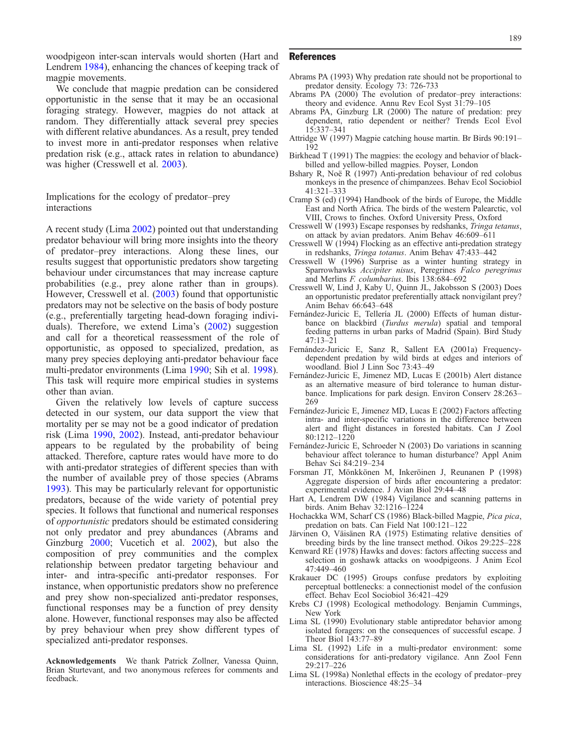<span id="page-6-0"></span>woodpigeon inter-scan intervals would shorten (Hart and Lendrem 1984), enhancing the chances of keeping track of magpie movements.

We conclude that magpie predation can be considered opportunistic in the sense that it may be an occasional foraging strategy. However, magpies do not attack at random. They differentially attack several prey species with different relative abundances. As a result, prey tended to invest more in anti-predator responses when relative predation risk (e.g., attack rates in relation to abundance) was higher (Cresswell et al. 2003).

Implications for the ecology of predator–prey interactions

A recent study (Lima [2002\)](#page-7-0) pointed out that understanding predator behaviour will bring more insights into the theory of predator–prey interactions. Along these lines, our results suggest that opportunistic predators show targeting behaviour under circumstances that may increase capture probabilities (e.g., prey alone rather than in groups). However, Cresswell et al. (2003) found that opportunistic predators may not be selective on the basis of body posture (e.g., preferentially targeting head-down foraging individuals). Therefore, we extend Lima's ([2002\)](#page-7-0) suggestion and call for a theoretical reassessment of the role of opportunistic, as opposed to specialized, predation, as many prey species deploying anti-predator behaviour face multi-predator environments (Lima 1990; Sih et al. [1998\)](#page-7-0). This task will require more empirical studies in systems other than avian.

Given the relatively low levels of capture success detected in our system, our data support the view that mortality per se may not be a good indicator of predation risk (Lima 1990, [2002\)](#page-7-0). Instead, anti-predator behaviour appears to be regulated by the probability of being attacked. Therefore, capture rates would have more to do with anti-predator strategies of different species than with the number of available prey of those species (Abrams 1993). This may be particularly relevant for opportunistic predators, because of the wide variety of potential prey species. It follows that functional and numerical responses of opportunistic predators should be estimated considering not only predator and prey abundances (Abrams and Ginzburg 2000; Vucetich et al. [2002\)](#page-7-0), but also the composition of prey communities and the complex relationship between predator targeting behaviour and inter- and intra-specific anti-predator responses. For instance, when opportunistic predators show no preference and prey show non-specialized anti-predator responses, functional responses may be a function of prey density alone. However, functional responses may also be affected by prey behaviour when prey show different types of specialized anti-predator responses.

Acknowledgements We thank Patrick Zollner, Vanessa Quinn, Brian Sturtevant, and two anonymous referees for comments and feedback.

#### References

- Abrams PA (1993) Why predation rate should not be proportional to predator density. Ecology 73: 726-733
- Abrams PA (2000) The evolution of predator–prey interactions: theory and evidence. Annu Rev Ecol Syst 31:79–105
- Abrams PA, Ginzburg LR (2000) The nature of predation: prey dependent, ratio dependent or neither? Trends Ecol Evol 15:337–341
- Attridge W (1997) Magpie catching house martin. Br Birds 90:191– 192
- Birkhead T (1991) The magpies: the ecology and behavior of blackbilled and yellow-billed magpies. Poyser, London
- Bshary R, Noë R (1997) Anti-predation behaviour of red colobus monkeys in the presence of chimpanzees. Behav Ecol Sociobiol 41:321–333
- Cramp S (ed) (1994) Handbook of the birds of Europe, the Middle East and North Africa. The birds of the western Palearctic, vol VIII, Crows to finches. Oxford University Press, Oxford
- Cresswell W (1993) Escape responses by redshanks, Tringa tetanus, on attack by avian predators. Anim Behav 46:609–611
- Cresswell W (1994) Flocking as an effective anti-predation strategy in redshanks, Tringa totanus. Anim Behav 47:433–442
- Cresswell W (1996) Surprise as a winter hunting strategy in Sparrowhawks Accipiter nisus, Peregrines Falco peregrinus and Merlins F. columbarius. Ibis 138:684–692
- Cresswell W, Lind J, Kaby U, Quinn JL, Jakobsson S (2003) Does an opportunistic predator preferentially attack nonvigilant prey? Anim Behav 66:643–648
- Fernández-Juricic E, Tellería JL (2000) Effects of human disturbance on blackbird (Turdus merula) spatial and temporal feeding patterns in urban parks of Madrid (Spain). Bird Study 47:13–21
- Fernández-Juricic E, Sanz R, Sallent EA (2001a) Frequencydependent predation by wild birds at edges and interiors of woodland. Biol J Linn Soc 73:43–49
- Fernández-Juricic E, Jimenez MD, Lucas E (2001b) Alert distance as an alternative measure of bird tolerance to human disturbance. Implications for park design. Environ Conserv 28:263– 269
- Fernández-Juricic E, Jimenez MD, Lucas E (2002) Factors affecting intra- and inter-specific variations in the difference between alert and flight distances in forested habitats. Can J Zool 80:1212–1220
- Fernández-Juricic E, Schroeder N (2003) Do variations in scanning behaviour affect tolerance to human disturbance? Appl Anim Behav Sci 84:219–234
- Forsman JT, Mönkkönen M, Inkeröinen J, Reunanen P (1998) Aggregate dispersion of birds after encountering a predator: experimental evidence. J Avian Biol 29:44–48
- Hart A, Lendrem DW (1984) Vigilance and scanning patterns in birds. Anim Behav 32:1216–1224
- Hochackka WM, Scharf CS (1986) Black-billed Magpie, Pica pica, predation on bats. Can Field Nat 100:121–122
- Järvinen O, Väisänen RA (1975) Estimating relative densities of breeding birds by the line transect method. Oikos 29:225–228
- Kenward RE (1978) Hawks and doves: factors affecting success and selection in goshawk attacks on woodpigeons. J Anim Ecol 47:449–460
- Krakauer DC (1995) Groups confuse predators by exploiting perceptual bottlenecks: a connectionist model of the confusion effect. Behav Ecol Sociobiol 36:421–429
- Krebs CJ (1998) Ecological methodology. Benjamin Cummings, New York
- Lima SL (1990) Evolutionary stable antipredator behavior among isolated foragers: on the consequences of successful escape. J Theor Biol 143:77–89
- Lima SL (1992) Life in a multi-predator environment: some considerations for anti-predatory vigilance. Ann Zool Fenn 29:217–226
- Lima SL (1998a) Nonlethal effects in the ecology of predator–prey interactions. Bioscience 48:25–34